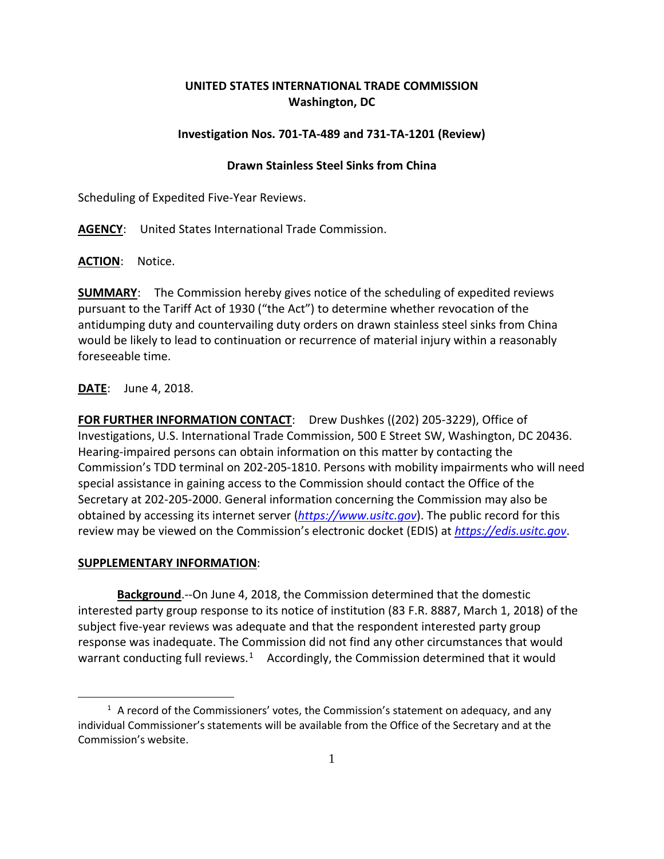## **UNITED STATES INTERNATIONAL TRADE COMMISSION Washington, DC**

## **Investigation Nos. 701-TA-489 and 731-TA-1201 (Review)**

## **Drawn Stainless Steel Sinks from China**

Scheduling of Expedited Five-Year Reviews.

**AGENCY**: United States International Trade Commission.

**ACTION**: Notice.

**SUMMARY**: The Commission hereby gives notice of the scheduling of expedited reviews pursuant to the Tariff Act of 1930 ("the Act") to determine whether revocation of the antidumping duty and countervailing duty orders on drawn stainless steel sinks from China would be likely to lead to continuation or recurrence of material injury within a reasonably foreseeable time.

**DATE**: June 4, 2018.

**FOR FURTHER INFORMATION CONTACT**: Drew Dushkes ((202) 205-3229), Office of Investigations, U.S. International Trade Commission, 500 E Street SW, Washington, DC 20436. Hearing-impaired persons can obtain information on this matter by contacting the Commission's TDD terminal on 202-205-1810. Persons with mobility impairments who will need special assistance in gaining access to the Commission should contact the Office of the Secretary at 202-205-2000. General information concerning the Commission may also be obtained by accessing its internet server (*[https://www.usitc.gov](https://www.usitc.gov/)*). The public record for this review may be viewed on the Commission's electronic docket (EDIS) at *[https://edis.usitc.gov](https://edis.usitc.gov/)*.

## **SUPPLEMENTARY INFORMATION**:

 $\overline{a}$ 

**Background**.--On June 4, 2018, the Commission determined that the domestic interested party group response to its notice of institution (83 F.R. 8887, March 1, 2018) of the subject five-year reviews was adequate and that the respondent interested party group response was inadequate. The Commission did not find any other circumstances that would warrant conducting full reviews.<sup>1</sup> Accordingly, the Commission determined that it would

<span id="page-0-0"></span> $1$  A record of the Commissioners' votes, the Commission's statement on adequacy, and any individual Commissioner's statements will be available from the Office of the Secretary and at the Commission's website.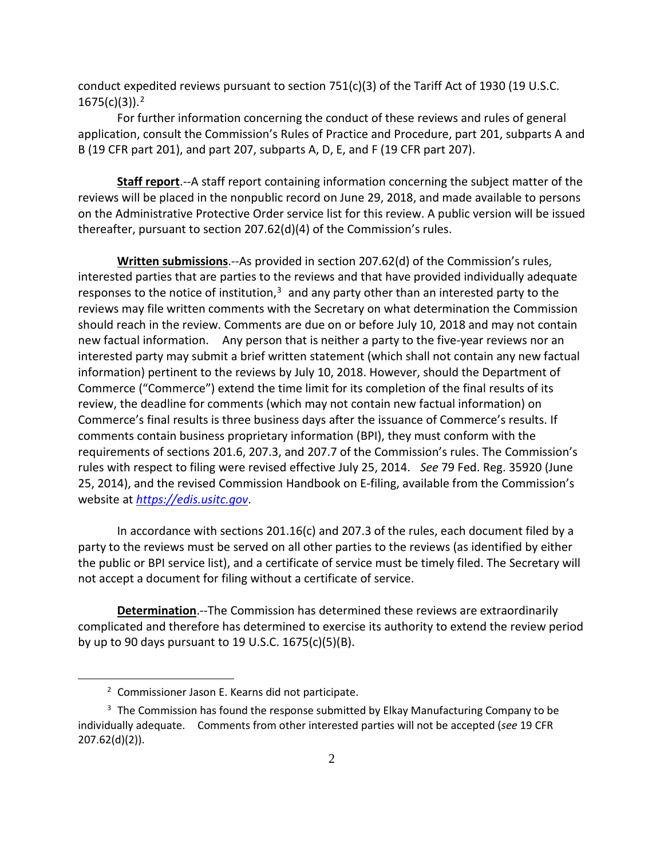conduct expedited reviews pursuant to section  $751(c)(3)$  of the Tariff Act of 1930 (19 U.S.C. 1675(c)(3)). [2](#page-1-0)

For further information concerning the conduct of these reviews and rules of general application, consult the Commission's Rules of Practice and Procedure, part 201, subparts A and B (19 CFR part 201), and part 207, subparts A, D, E, and F (19 CFR part 207).

**Staff report**.--A staff report containing information concerning the subject matter of the reviews will be placed in the nonpublic record on June 29, 2018, and made available to persons on the Administrative Protective Order service list for this review. A public version will be issued thereafter, pursuant to section 207.62(d)(4) of the Commission's rules.

**Written submissions**.--As provided in section 207.62(d) of the Commission's rules, interested parties that are parties to the reviews and that have provided individually adequate responses to the notice of institution, $3$  and any party other than an interested party to the reviews may file written comments with the Secretary on what determination the Commission should reach in the review. Comments are due on or before July 10, 2018 and may not contain new factual information. Any person that is neither a party to the five-year reviews nor an interested party may submit a brief written statement (which shall not contain any new factual information) pertinent to the reviews by July 10, 2018. However, should the Department of Commerce ("Commerce") extend the time limit for its completion of the final results of its review, the deadline for comments (which may not contain new factual information) on Commerce's final results is three business days after the issuance of Commerce's results. If comments contain business proprietary information (BPI), they must conform with the requirements of sections 201.6, 207.3, and 207.7 of the Commission's rules. The Commission's rules with respect to filing were revised effective July 25, 2014. *See* 79 Fed. Reg. 35920 (June 25, 2014), and the revised Commission Handbook on E-filing, available from the Commission's website at *[https://edis.usitc.gov](https://edis.usitc.gov/)*.

In accordance with sections 201.16(c) and 207.3 of the rules, each document filed by a party to the reviews must be served on all other parties to the reviews (as identified by either the public or BPI service list), and a certificate of service must be timely filed. The Secretary will not accept a document for filing without a certificate of service.

**Determination**.--The Commission has determined these reviews are extraordinarily complicated and therefore has determined to exercise its authority to extend the review period by up to 90 days pursuant to 19 U.S.C. 1675(c)(5)(B).

 $\overline{a}$ 

<sup>2</sup> Commissioner Jason E. Kearns did not participate.

<span id="page-1-1"></span><span id="page-1-0"></span> $3$  The Commission has found the response submitted by Elkay Manufacturing Company to be individually adequate. Comments from other interested parties will not be accepted (*see* 19 CFR 207.62(d)(2)).